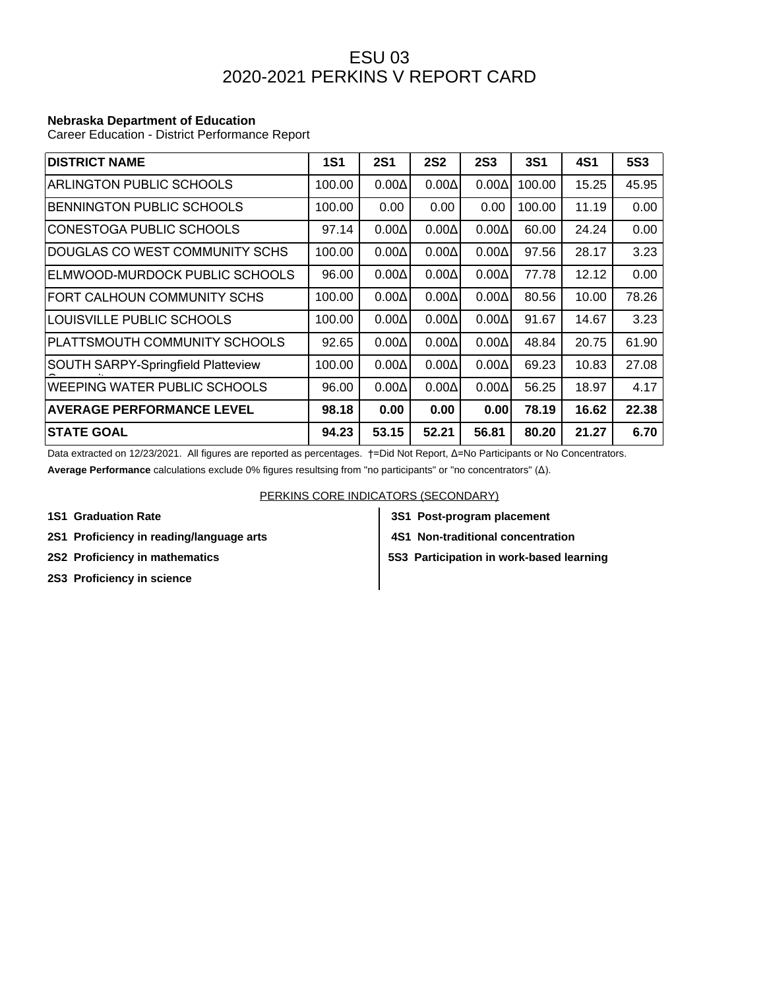## ESU 03 2020-2021 PERKINS V REPORT CARD

## **Nebraska Department of Education**

Career Education - District Performance Report

| <b>DISTRICT NAME</b>                      | <b>1S1</b> | <b>2S1</b>   | <b>2S2</b>   | <b>2S3</b>   | <b>3S1</b> | <b>4S1</b> | <b>5S3</b> |
|-------------------------------------------|------------|--------------|--------------|--------------|------------|------------|------------|
| <b>ARLINGTON PUBLIC SCHOOLS</b>           | 100.00     | $0.00\Delta$ | $0.00\Delta$ | $0.00\Delta$ | 100.00     | 15.25      | 45.95      |
| <b>BENNINGTON PUBLIC SCHOOLS</b>          | 100.00     | 0.00         | 0.00         | 0.00         | 100.00     | 11.19      | 0.00       |
| CONESTOGA PUBLIC SCHOOLS                  | 97.14      | $0.00\Delta$ | $0.00\Delta$ | $0.00\Delta$ | 60.00      | 24.24      | 0.00       |
| DOUGLAS CO WEST COMMUNITY SCHS            | 100.00     | $0.00\Delta$ | $0.00\Delta$ | $0.00\Delta$ | 97.56      | 28.17      | 3.23       |
| ELMWOOD-MURDOCK PUBLIC SCHOOLS            | 96.00      | $0.00\Delta$ | $0.00\Delta$ | $0.00\Delta$ | 77.78      | 12.12      | 0.00       |
| FORT CALHOUN COMMUNITY SCHS               | 100.00     | $0.00\Delta$ | $0.00\Delta$ | $0.00\Delta$ | 80.56      | 10.00      | 78.26      |
| LOUISVILLE PUBLIC SCHOOLS                 | 100.00     | $0.00\Delta$ | $0.00\Delta$ | $0.00\Delta$ | 91.67      | 14.67      | 3.23       |
| PLATTSMOUTH COMMUNITY SCHOOLS             | 92.65      | $0.00\Delta$ | $0.00\Delta$ | $0.00\Delta$ | 48.84      | 20.75      | 61.90      |
| <b>SOUTH SARPY-Springfield Platteview</b> | 100.00     | $0.00\Delta$ | $0.00\Delta$ | $0.00\Delta$ | 69.23      | 10.83      | 27.08      |
| WEEPING WATER PUBLIC SCHOOLS              | 96.00      | $0.00\Delta$ | $0.00\Delta$ | $0.00\Delta$ | 56.25      | 18.97      | 4.17       |
| <b>AVERAGE PERFORMANCE LEVEL</b>          | 98.18      | 0.00         | 0.00         | 0.00         | 78.19      | 16.62      | 22.38      |
| <b>STATE GOAL</b>                         | 94.23      | 53.15        | 52.21        | 56.81        | 80.20      | 21.27      | 6.70       |

Data extracted on 12/23/2021. All figures are reported as percentages. †=Did Not Report, Δ=No Participants or No Concentrators.

**Average Performance** calculations exclude 0% figures resultsing from "no participants" or "no concentrators" (Δ).

PERKINS CORE INDICATORS (SECONDARY)

- 
- **2S1 Proficiency in reading/language arts 4S1 Non-traditional concentration**
- 
- **2S3 Proficiency in science**
- **1S1 Graduation Rate 3S1 Post-program placement**
	-

**2S2 Proficiency in mathematics 5S3 Participation in work-based learning**